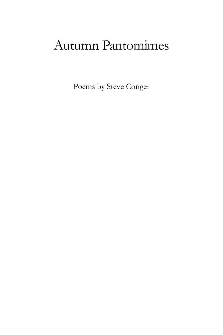Poems by Steve Conger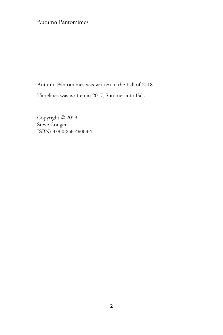Autumn Pantomimes was written in the Fall of 2018.

Timelines was written in 2017, Summer into Fall.

Copyright © 2019 Steve Conger ISBN: 978-0-359-49056-1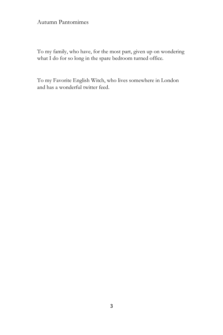To my family, who have, for the most part, given up on wondering what I do for so long in the spare bedroom turned office.

To my Favorite English Witch, who lives somewhere in London and has a wonderful twitter feed.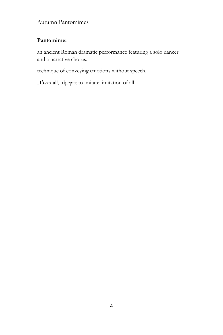## **Pantomime:**

an ancient Roman dramatic performance featuring a solo dancer and a narrative chorus.

technique of conveying emotions without speech.

Πὰντα all, μὶμησις to imitate; imitation of all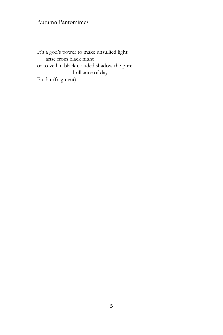It's a god's power to make unsullied light arise from black night or to veil in black clouded shadow the pure brilliance of day Pindar (fragment)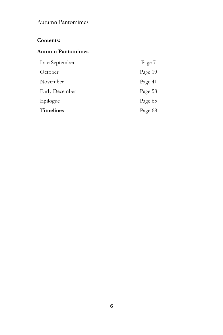## **Contents:**

## **Autumn Pantomimes**

| Late September        | Page 7  |
|-----------------------|---------|
| October               | Page 19 |
| November              | Page 41 |
| <b>Early December</b> | Page 58 |
| Epilogue              | Page 65 |
| <b>Timelines</b>      | Page 68 |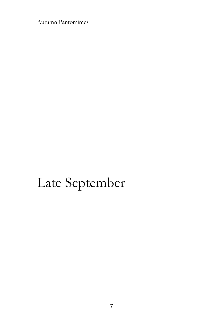# Late September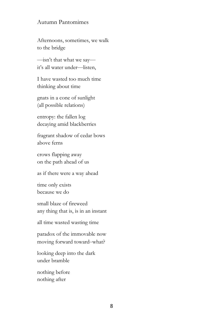Afternoons, sometimes, we walk to the bridge

—isn't that what we say it's all water under—listen,

I have wasted too much time thinking about time

gnats in a cone of sunlight (all possible relations)

entropy: the fallen log decaying amid blackberries

fragrant shadow of cedar bows above ferns

crows flapping away on the path ahead of us

as if there were a way ahead

time only exists because we do

small blaze of fireweed any thing that is, is in an instant

all time wasted wasting time

paradox of the immovable now moving forward toward–what?

looking deep into the dark under bramble

nothing before nothing after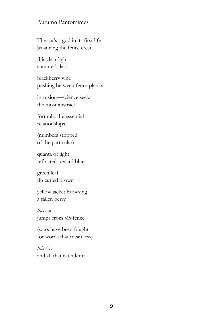The cat's a god in its first life balancing the fence crest

this clear light summer's last

blackberry vine pushing between fence planks

intrusion—science seeks the most abstract

formula: the essential relationships

(numbers stripped of the particular)

quanta of light refracted toward blue

green leaf tip curled brown

yellow jacket browsing a fallen berry

*this* cat jumps from *this* fence

(wars have been fought for words that mean less)

*this* sky and all that is under it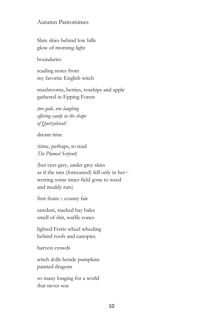Slate skies behind low hills glow of morning light

boundaries

reading notes from my favorite English witch

mushrooms, berries, rosehips and apple gathered in Epping Forest

*two gods, one laughing offering candy in the shape of Quetzalcoatl*

dream time

(time, perhaps, to read *The Plumed Serpent*)

(her eyes grey, under grey skies as if the rain (forecasted) fell only in her− wetting some inner field gone to weed and muddy ruts)

first fruits :: county fair

sawdust, stacked hay bales smell of shit, waffle cones

lighted Ferris wheel wheeling behind roofs and canopies

harvest crowds

witch dolls beside pumpkins painted dragons

so many longing for a world that never was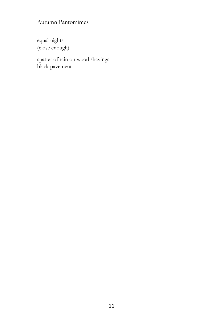equal nights (close enough)

spatter of rain on wood shavings black pavement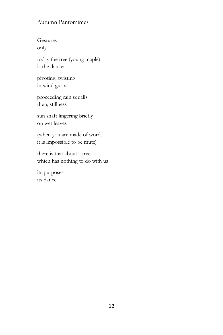Gestures only

today the tree (young maple) is the dancer

pivoting, twisting in wind gusts

proceeding rain squalls then, stillness

sun shaft lingering briefly on wet leaves

(when you are made of words it is impossible to be mute)

there is that about a tree which has nothing to do with us

its purposes its dance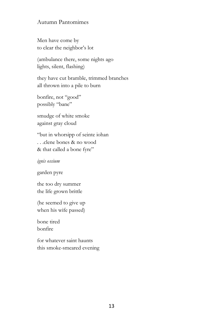Men have come by to clear the neighbor's lot

(ambulance there, some nights ago lights, silent, flashing)

they have cut bramble, trimmed branches all thrown into a pile to burn

bonfire, not "good" possibly "bane"

smudge of white smoke against gray cloud

"but in whorsipp of seinte iohan . . .clene bones & no wood & that called a bone fyre"

*ignis ossium*

garden pyre

the too dry summer the life grown brittle

(he seemed to give up when his wife passed)

bone tired bonfire

for whatever saint haunts this smoke-smeared evening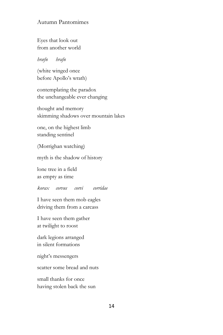Eyes that look out from another world

#### *hræfn hrafn*

(white winged once before Apollo's wrath)

contemplating the paradox the unchangeable ever changing

thought and memory skimming shadows over mountain lakes

one, on the highest limb standing sentinel

(Morrighan watching)

myth is the shadow of history

lone tree in a field as empty as time

*korax corvus corvi corridae*

I have seen them mob eagles driving them from a carcass

I have seen them gather at twilight to roost

dark legions arranged in silent formations

night's messengers

scatter some bread and nuts

small thanks for once having stolen back the sun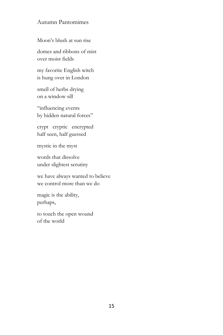Moon's blush at sun rise

domes and ribbons of mist over moist fields

my favorite English witch is hung over in London

smell of herbs drying on a window sill

"influencing events by hidden natural forces"

crypt cryptic encrypted half seen, half guessed

mystic in the myst

words that dissolve under slightest scrutiny

we have always wanted to believe we control more than we do

magic is the ability, perhaps,

to touch the open wound of the world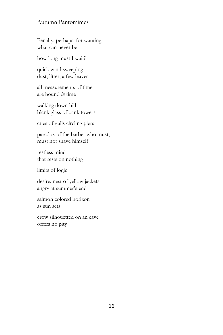Penalty, perhaps, for wanting what can never be

how long must I wait?

quick wind sweeping dust, litter, a few leaves

all measurements of time are bound *in* time

walking down hill blank glass of bank towers

cries of gulls circling piers

paradox of the barber who must, must not shave himself

restless mind that rests on nothing

limits of logic

desire: nest of yellow jackets angry at summer's end

salmon colored horizon as sun sets

crow silhouetted on an eave offers no pity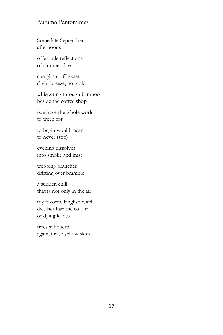Some late September afternoons

offer pale reflections of summer days

sun glints off water slight breeze, not cold

whispering through bamboo beside the coffee shop

(we have the whole world to weep for

to begin would mean to never stop)

evening dissolves into smoke and mist

webbing branches drifting over bramble

a sudden chill that is not only in the air

my favorite English witch dies her hair the colour of dying leaves

trees silhouette against rose yellow skies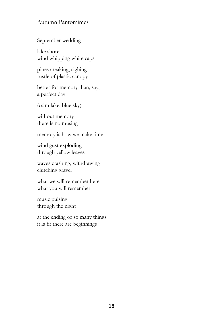September wedding

lake shore wind whipping white caps

pines creaking, sighing rustle of plastic canopy

better for memory than, say, a perfect day

(calm lake, blue sky)

without memory there is no musing

memory is how we make time

wind gust exploding through yellow leaves

waves crashing, withdrawing clutching gravel

what we will remember here what you will remember

music pulsing through the night

at the ending of so many things it is fit there are beginnings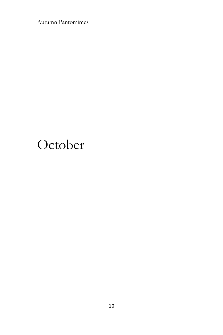## October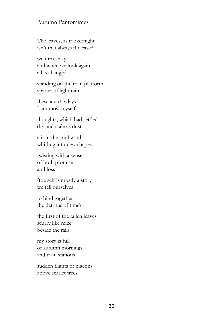The leaves, as if overnight isn't that always the case?

we turn away and when we look again all is changed

standing on the train platform spatter of light rain

these are the days I am most myself

thoughts, which had settled dry and stale as dust

stir in the cool wind whirling into new shapes

twisting with a sense of both promise and loss

(the self is mostly a story we tell ourselves

to bind together the detritus of time)

the first of the fallen leaves scurry like mice beside the rails

my story is full of autumn mornings and train stations

sudden flights of pigeons above scarlet trees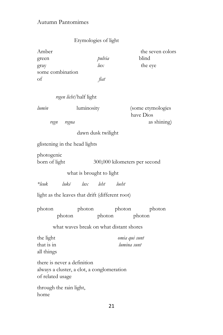## Etymologies of light

| Amber            |        | the seven colors |  |
|------------------|--------|------------------|--|
| green            | pulvia | blind            |  |
| gray             | lux    | the eye          |  |
| some combination |        |                  |  |
| of               | fiat   |                  |  |

|                          |                                                                                               | regen licht/half light                  |                  |                                |
|--------------------------|-----------------------------------------------------------------------------------------------|-----------------------------------------|------------------|--------------------------------|
|                          | lumin                                                                                         | luminosity                              |                  | (some etymologies<br>have Dios |
|                          | regn regna                                                                                    |                                         |                  | as shining)                    |
|                          |                                                                                               | dawn dusk twilight                      |                  |                                |
|                          | glistening in the head lights                                                                 |                                         |                  |                                |
|                          | photogenic<br>born of light                                                                   |                                         |                  | 300,000 kilometers per second  |
| what is brought to light |                                                                                               |                                         |                  |                                |
|                          | $*$ leuk                                                                                      | lukē lux leht loeht                     |                  |                                |
|                          | light as the leaves that drift (different root)                                               |                                         |                  |                                |
|                          | photon<br>photon                                                                              | photon                                  | photon<br>photon | photon<br>photon               |
|                          |                                                                                               | what waves break on what distant shores |                  |                                |
|                          | the light<br>that is in<br>all things                                                         |                                         |                  | omia qui sunt<br>lumina sunt   |
|                          | there is never a definition<br>always a cluster, a clot, a conglomeration<br>of related usage |                                         |                  |                                |
|                          | through the rain light,<br>home                                                               |                                         |                  |                                |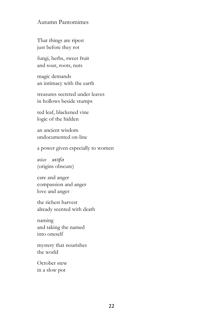That things are ripest just before they rot

fungi, herbs, sweet fruit and sour, roots, nuts

magic demands an intimacy with the earth

treasures secreted under leaves in hollows beside stumps

red leaf, blackened vine logic of the hidden

an ancient wisdom undocumented on-line

a power given especially to women

*wicce wɪttʃeɪ* (origins obscure)

care and anger compassion and anger love and anger

the richest harvest already scented with death

naming and taking the named into oneself

mystery that nourishes the world

October stew in a slow pot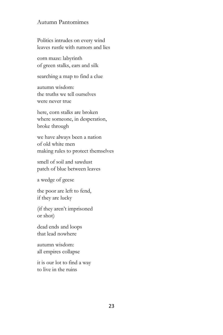Politics intrudes on every wind leaves rustle with rumors and lies

corn maze: labyrinth of green stalks, ears and silk

searching a map to find a clue

autumn wisdom: the truths we tell ourselves were never true

here, corn stalks are broken where someone, in desperation, broke through

we have always been a nation of old white men making rules to protect themselves

smell of soil and sawdust patch of blue between leaves

a wedge of geese

the poor are left to fend, if they are lucky

(if they aren't imprisoned or shot)

dead ends and loops that lead nowhere

autumn wisdom: all empires collapse

it is our lot to find a way to live in the ruins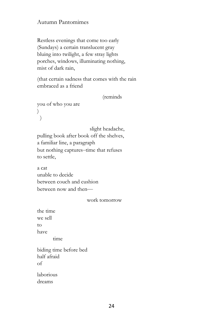Restless evenings that come too early (Sundays) a certain translucent gray bluing into twilight, a few stray lights porches, windows, illuminating nothing, mist of dark rain,

(that certain sadness that comes with the rain embraced as a friend

(reminds

you of who you are  $\left( \right)$ )

 slight headache, pulling book after book off the shelves, a familiar line, a paragraph but nothing captures–time that refuses to settle,

a cat unable to decide between couch and cushion between now and then—

#### work tomorrow

the time we sell to have time biding time before bed half afraid of laborious

dreams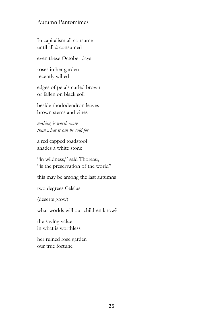In capitalism all consume until all *is* consumed

even these October days

roses in her garden recently wilted

edges of petals curled brown or fallen on black soil

beside rhododendron leaves brown stems and vines

*nothing is worth more than what it can be sold for*

a red capped toadstool shades a white stone

"in wildness," said Thoreau, "is the preservation of the world"

this may be among the last autumns

two degrees Celsius

(deserts grow)

what worlds will our children know?

the saving value in what is worthless

her ruined rose garden our true fortune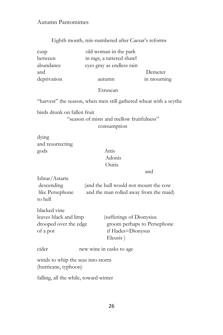## Eighth month, mis-numbered after Caesar's reforms

| cusp        | old woman in the park     |             |
|-------------|---------------------------|-------------|
| between     | in rags, a tattered shawl |             |
| abundance   | eyes gray as endless rain |             |
| and         |                           | Demeter     |
| deprivation | autumn                    | in mourning |

#### Etruscan

"harvest" the season, when men still gathered wheat with a scythe

birds drunk on fallen fruit

## "season of mists and mellow fruitfulness" consumption

dying and resurrecting gods Attis

blacked vine

## Adonis Osiris

and

Ishtar/Astarte descending (and the bull would not mount the cow like Persephone and the man rolled away from the maid) to hell

| DIACREU VIIIE         |                             |
|-----------------------|-----------------------------|
| leaves black and limp | (sufferings of Dionysius)   |
| drooped over the edge | groom perhaps to Persephone |
| of a pot              | if Hades=Dionysus           |
|                       | Eleusis)                    |

cider new wine in casks to age

winds to whip the seas into storm (hurricane, typhoon)

falling, all the while, toward winter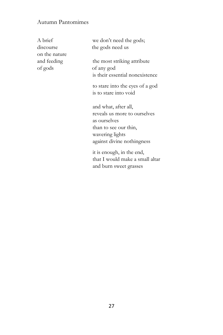| A brief       | we don't need the gods;                                   |
|---------------|-----------------------------------------------------------|
| discourse     | the gods need us                                          |
| on the nature |                                                           |
| and feeding   | the most striking attribute                               |
| of gods       | of any god                                                |
|               | is their essential nonexistence                           |
|               | to stare into the eyes of a god                           |
|               | is to stare into void                                     |
|               |                                                           |
|               | and what, after all,                                      |
|               | reveals us more to ourselves                              |
|               | as ourselves                                              |
|               | than to see our thin,                                     |
|               | wavering lights                                           |
|               | against divine nothingness                                |
|               | it is enough, in the end,                                 |
|               | that I would make a small altar<br>and burn sweet grasses |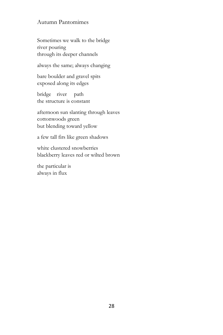Sometimes we walk to the bridge river pouring through its deeper channels

always the same; always changing

bare boulder and gravel spits exposed along its edges

bridge river path the structure is constant

afternoon sun slanting through leaves cottonwoods green but blending toward yellow

a few tall firs like green shadows

white clustered snowberries blackberry leaves red or wilted brown

the particular is always in flux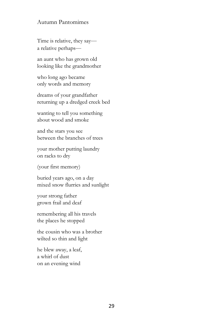Time is relative, they say a relative perhaps—

an aunt who has grown old looking like the grandmother

who long ago became only words and memory

dreams of your grandfather returning up a dredged creek bed

wanting to tell you something about wood and smoke

and the stars you see between the branches of trees

your mother putting laundry on racks to dry

(your first memory)

buried years ago, on a day mixed snow flurries and sunlight

your strong father grown frail and deaf

remembering all his travels the places he stopped

the cousin who was a brother wilted so thin and light

he blew away, a leaf, a whirl of dust on an evening wind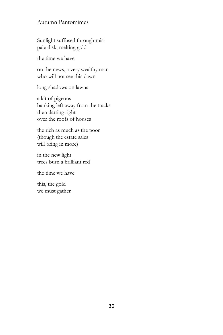Sunlight suffused through mist pale disk, melting gold

the time we have

on the news, a very wealthy man who will not see this dawn

long shadows on lawns

a kit of pigeons banking left away from the tracks then darting right over the roofs of houses

the rich as much as the poor (though the estate sales will bring in more)

in the new light trees burn a brilliant red

the time we have

this, the gold we must gather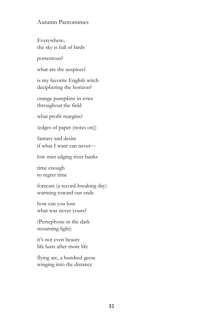Everywhere, the sky is full of birds

portentous?

what are the auspices?

is my favorite English witch deciphering the horizon?

orange pumpkins in rows throughout the field

what profit margins?

(edges of paper (notes on))

fantasy and desire if what I want can never—

low mist edging river banks

time enough to regret time

forecast (a record-breaking day) warming toward our ends

how can you lose what was never yours?

(Persephone in the dark mourning light)

it's not even beauty life lusts after more life

flying arc, a hundred geese winging into the distance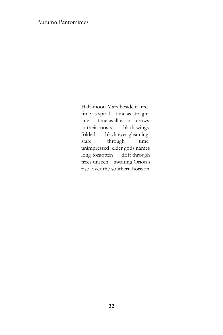Half-moon Mars beside it red time as spiral time as straight line time as illusion crows in their roosts black wings folded black eyes gleaming stare through time unimpressed elder gods names long forgotten drift through trees unseen awaiting Orion's rise over the southern horizon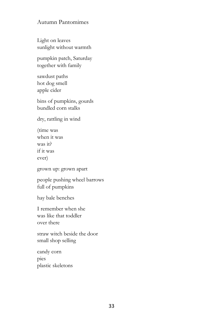Light on leaves sunlight without warmth

pumpkin patch, Saturday together with family

sawdust paths hot dog smell apple cider

bins of pumpkins, gourds bundled corn stalks

dry, rattling in wind

(time was when it was was it? if it was ever)

grown up: grown apart

people pushing wheel barrows full of pumpkins

hay bale benches

I remember when she was like that toddler over there

straw witch beside the door small shop selling

candy corn pies plastic skeletons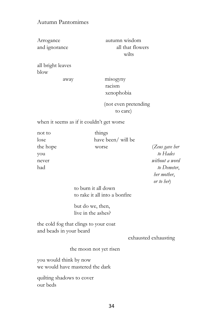Arrogance autumn wisdom and ignorance all that flowers wilts

all bright leaves blow

 away misogyny racism xenophobia

> (not even pretending to care)

when it seems as if it couldn't get worse

| not to   | things                |                |
|----------|-----------------------|----------------|
| lose     | have been/ will be    |                |
| the hope | worse                 | (Zeus gave her |
| you      |                       | to Hades       |
| never    |                       | without a word |
| had      |                       | to Demeter,    |
|          |                       | her mother,    |
|          |                       | or to her)     |
|          | to bushes it all down |                |

 to burn it all down to rake it all into a bonfire

 but do we, then, live in the ashes?

the cold fog that clings to your coat and beads in your beard

exhausted exhausting

the moon not yet risen

you would think by now we would have mastered the dark

quilting shadows to cover our beds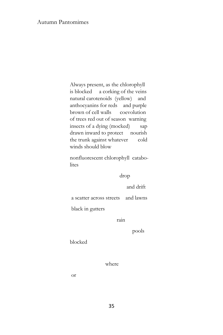Always present, as the chlorophyll is blocked a corking of the veins natural carotenoids (yellow) and anthocyanins for reds and purple brown of cell walls coevolution of trees red out of season warning insects of a dying (mocked) sap drawn inward to protect nourish the trunk against whatever cold winds should blow

 nonfluorescent chlorophyll catabo lites

drop

and drift

a scatter across streets and lawns

black in gutters

rain

pools

blocked

where

or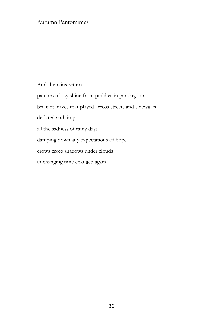And the rains return patches of sky shine from puddles in parking lots brilliant leaves that played across streets and sidewalks deflated and limp all the sadness of rainy days damping down any expectations of hope crows cross shadows under clouds unchanging time changed again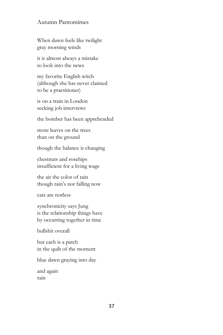When dawn feels like twilight gray morning winds

it is almost always a mistake to look into the news

my favorite English witch (although she has never claimed to be a practitioner)

is on a train in London seeking job interviews

the bomber has been apprehended

more leaves on the trees than on the ground

though the balance is changing

chestnuts and rosehips insufficient for a living wage

the air the color of rain though rain's not falling now

cats are restless

synchronicity says Jung is the relationship things have by occurring together in time

bullshit overall

but each is a patch in the quilt of the moment

blue dawn graying into day

and again rain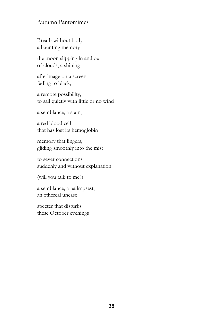Breath without body a haunting memory

the moon slipping in and out of clouds, a shining

afterimage on a screen fading to black,

a remote possibility, to sail quietly with little or no wind

a semblance, a stain,

a red blood cell that has lost its hemoglobin

memory that lingers, gliding smoothly into the mist

to sever connections suddenly and without explanation

(will you talk to me?)

a semblance, a palimpsest, an ethereal unease

specter that disturbs these October evenings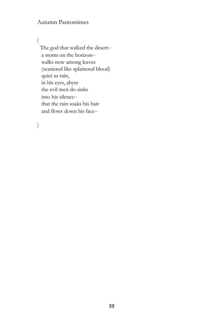(

 The god that walked the desert– a storm on the horizon– walks now among leaves (scattered like splattered blood) quiet as rain, in his eyes, abyss the evil men do sinks into his silence– that the rain soaks his hair and flows down his face–

)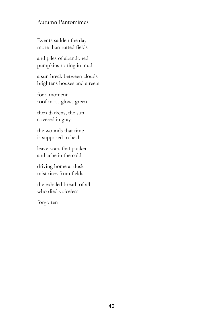Events sadden the day more than rutted fields

and piles of abandoned pumpkins rotting in mud

a sun break between clouds brightens houses and streets

for a moment– roof moss glows green

then darkens, the sun covered in gray

the wounds that time is supposed to heal

leave scars that pucker and ache in the cold

driving home at dusk mist rises from fields

the exhaled breath of all who died voiceless

forgotten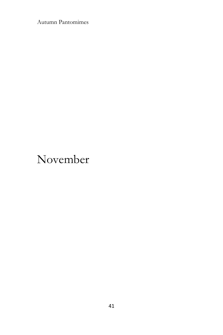## November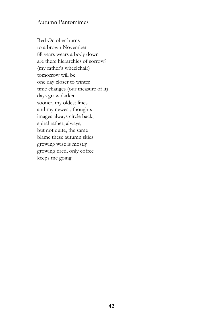Red October burns to a brown November 88 years wears a body down are there hierarchies of sorrow? (my father's wheelchair) tomorrow will be one day closer to winter time changes (our measure of it) days grow darker sooner, my oldest lines and my newest, thoughts images always circle back, spiral rather, always, but not quite, the same blame these autumn skies growing wise is mostly growing tired, only coffee keeps me going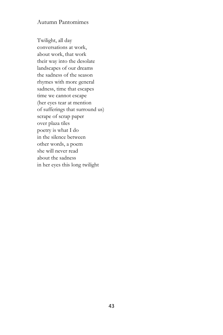Twilight, all day conversations at work, about work, that work their way into the desolate landscapes of our dreams the sadness of the season rhymes with more general sadness, time that escapes time we cannot escape (her eyes tear at mention of sufferings that surround us) scrape of scrap paper over plaza tiles poetry is what I do in the silence between other words, a poem she will never read about the sadness in her eyes this long twilight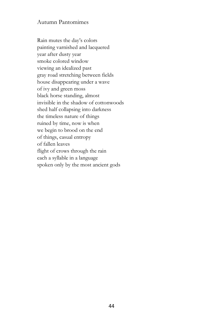Rain mutes the day's colors painting varnished and lacquered year after dusty year smoke colored window viewing an idealized past gray road stretching between fields house disappearing under a wave of ivy and green moss black horse standing, almost invisible in the shadow of cottonwoods shed half collapsing into darkness the timeless nature of things ruined by time, now is when we begin to brood on the end of things, casual entropy of fallen leaves flight of crows through the rain each a syllable in a language spoken only by the most ancient gods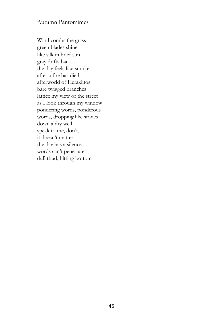Wind combs the grass green blades shine like silk in brief sun– gray drifts back the day feels like smoke after a fire has died afterworld of Heraklitos bare twigged branches lattice my view of the street as I look through my window pondering words, ponderous words, dropping like stones down a dry well speak to me, don't, it doesn't matter the day has a silence words can't penetrate dull thud, hitting bottom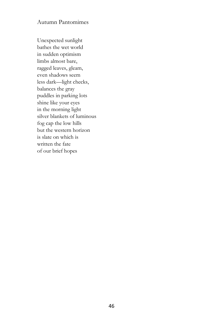Unexpected sunlight bathes the wet world in sudden optimism limbs almost bare, ragged leaves, gleam, even shadows seem less dark—light checks, balances the gray puddles in parking lots shine like your eyes in the morning light silver blankets of luminous fog cap the low hills but the western horizon is slate on which is written the fate of our brief hopes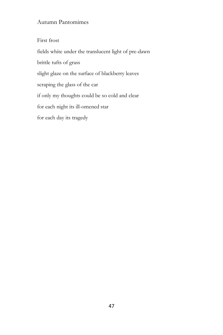First frost fields white under the translucent light of pre-dawn brittle tufts of grass slight glaze on the surface of blackberry leaves scraping the glass of the car if only my thoughts could be so cold and clear for each night its ill-omened star for each day its tragedy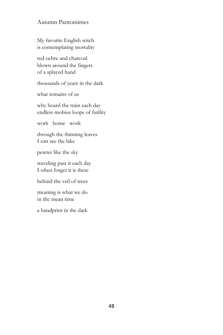My favorite English witch is contemplating mortality

red ochre and charcoal blown around the fingers of a splayed hand

thousands of years in the dark

what remains of us

why board the train each day endless mobius loops of futility

work home work

through the thinning leaves I can see the lake

pewter like the sky

traveling past it each day I often forget it is there

behind the veil of trees

meaning is what we do in the mean time

a handprint in the dark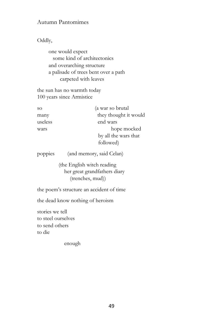Oddly,

 one would expect some kind of architectonics and overarching structure a palisade of trees bent over a path carpeted with leaves

the sun has no warmth today 100 years since Armistice

| <sub>SO</sub> | (a war so brutal      |
|---------------|-----------------------|
| many          | they thought it would |
| useless       | end wars              |
| wars          | hope mocked           |
|               | by all the wars that  |
|               | followed)             |

poppies (and memory, said Celan)

 (the English witch reading her great grandfathers diary (trenches, mud))

the poem's structure an accident of time

the dead know nothing of heroism

stories we tell to steel ourselves to send others to die

enough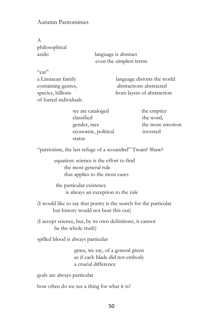A philosophical

aside: language is abstract even the simplest terms

 $Cat$ 

a Linnaean family language distorts the world containing genres, abstractions abstracted species, billions from layers of abstraction of furred individuals

> we are cataloged the emptier classified the word, economic, political invested status

gender, race the more emotion

"patriotism, the last refuge of a scoundrel" Twain? Shaw?

 equation: science is the effort to find the most general rule that applies to the most cases

 the particular existence is always an exception to the rule

(I would like to say that poetry is the search for the particular but history would not bear this out)

(I accept science, but, by its own definitions, it cannot be the whole truth)

spilled blood is always particular

grass, we say, of a general green as if each blade did not embody a crucial difference

gods are always particular

how often do we see a thing for what it is?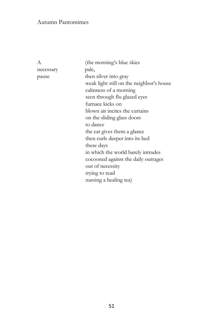necessary pale,

A (the morning's blue skies pause then silver into gray weak light still on the neighbor's house calmness of a morning seen through flu glazed eyes furnace kicks on blown air incites the curtains on the sliding glass doors to dance the cat gives them a glance then curls deeper into its bed these days in which the world barely intrudes cocooned against the daily outrages out of necessity trying to read nursing a healing tea)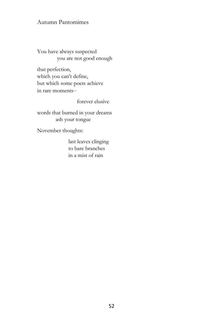You have always suspected you are not good enough

that perfection, which you can't define, but which some poets achieve in rare moments–

forever elusive

words that burned in your dreams ash your tongue

November thoughts:

 last leaves clinging to bare branches in a mist of rain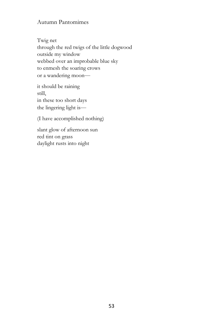Twig net through the red twigs of the little dogwood outside my window webbed over an improbable blue sky to enmesh the soaring crows or a wandering moon—

it should be raining still, in these too short days the lingering light is—

(I have accomplished nothing)

slant glow of afternoon sun red tint on grass daylight rusts into night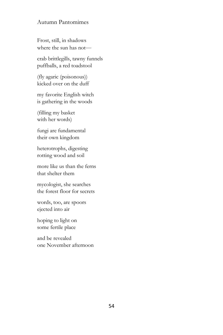Frost, still, in shadows where the sun has not—

crab brittlegills, tawny funnels puffballs, a red toadstool

(fly agaric (poisonous)) kicked over on the duff

my favorite English witch is gathering in the woods

(filling my basket with her words)

fungi are fundamental their own kingdom

heterotrophs, digesting rotting wood and soil

more like us than the ferns that shelter them

mycologist, she searches the forest floor for secrets

words, too, are spoors ejected into air

hoping to light on some fertile place

and be revealed one November afternoon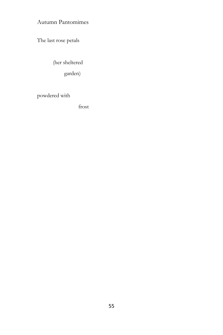The last rose petals

(her sheltered

garden)

powdered with

frost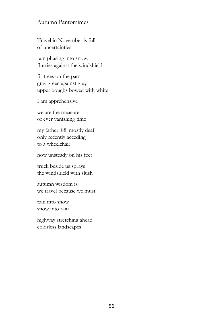Travel in November is full of uncertainties

rain phasing into snow, flurries against the windshield

fir trees on the pass gray green against gray upper boughs bowed with white

I am apprehensive

we are the measure of ever vanishing time

my father, 88, mostly deaf only recently acceding to a wheelchair

now unsteady on his feet

truck beside us sprays the windshield with slush

autumn wisdom is we travel because we must

rain into snow snow into rain

highway stretching ahead colorless landscapes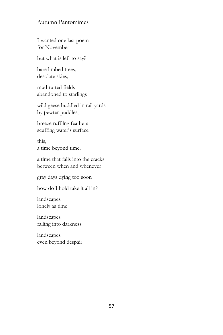I wanted one last poem for November

but what is left to say?

bare limbed trees, desolate skies,

mud rutted fields abandoned to starlings

wild geese huddled in rail yards by pewter puddles,

breeze ruffling feathers scuffing water's surface

this, a time beyond time,

a time that falls into the cracks between when and whenever

gray days dying too soon

how do I hold take it all in?

landscapes lonely as time

landscapes falling into darkness

landscapes even beyond despair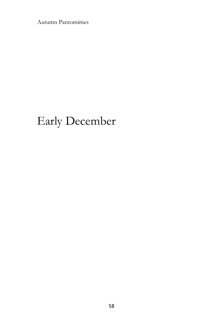## Early December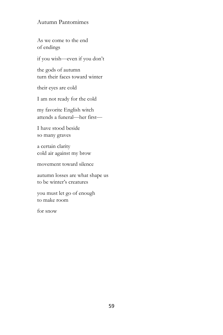As we come to the end of endings

if you wish—even if you don't

the gods of autumn turn their faces toward winter

their eyes are cold

I am not ready for the cold

my favorite English witch attends a funeral—her first—

I have stood beside so many graves

a certain clarity cold air against my brow

movement toward silence

autumn losses are what shape us to be winter's creatures

you must let go of enough to make room

for snow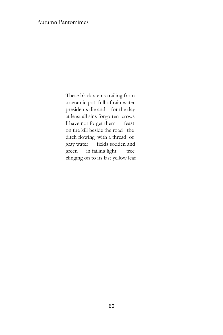These black stems trailing from a ceramic pot full of rain water presidents die and for the day at least all sins forgotten crows I have not forget them feast on the kill beside the road the ditch flowing with a thread of gray water fields sodden and green in failing light tree clinging on to its last yellow leaf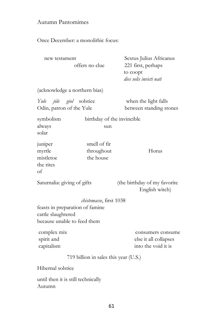Once December: a monolithic focus:

| new testament                                                                        | offers no clue                          | Sextus Julius Africanus<br>221 first, perhaps<br>to coopt<br>dies solis invicti nati |  |
|--------------------------------------------------------------------------------------|-----------------------------------------|--------------------------------------------------------------------------------------|--|
| (acknowledge a northern bias)                                                        |                                         |                                                                                      |  |
| Yule jõle geol solstice<br>Odin, patron of the Yule                                  |                                         | when the light falls<br>between standing stones                                      |  |
| symbolism<br>always<br>solar                                                         | birthday of the invincible<br>sun       |                                                                                      |  |
| juniper<br>myrtle<br>mistletoe<br>the rites<br>of                                    | smell of fir<br>throughout<br>the house | Horus                                                                                |  |
| Saturnalia: giving of gifts                                                          |                                         | (the birthday of my favorite<br>English witch)                                       |  |
|                                                                                      | chistemasse, first 1038                 |                                                                                      |  |
| feasts in preparation of famine<br>cattle slaughtered<br>because unable to feed them |                                         |                                                                                      |  |
| complex mix<br>spirit and<br>capitalism                                              |                                         | consumers consume<br>else it all collapses<br>into the void it is                    |  |
| 719 billion in sales this year (U.S.)                                                |                                         |                                                                                      |  |
| Hibernal solstice                                                                    |                                         |                                                                                      |  |
| until then it is still technically<br>Autumn                                         |                                         |                                                                                      |  |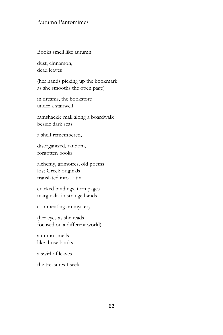Books smell like autumn

dust, cinnamon, dead leaves

(her hands picking up the bookmark as she smooths the open page)

in dreams, the bookstore under a stairwell

ramshackle mall along a boardwalk beside dark seas

a shelf remembered,

disorganized, random, forgotten books

alchemy, grimoires, old poems lost Greek originals translated into Latin

cracked bindings, torn pages marginalia in strange hands

commenting on mystery

(her eyes as she reads focused on a different world)

autumn smells like those books

a swirl of leaves

the treasures I seek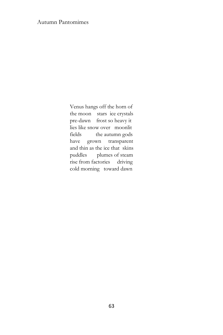Venus hangs off the horn of the moon stars ice crystals pre-dawn frost so heavy it lies like snow over moonlit fields the autumn gods have grown transparent and thin as the ice that skins puddles plumes of steam rise from factories driving cold morning toward dawn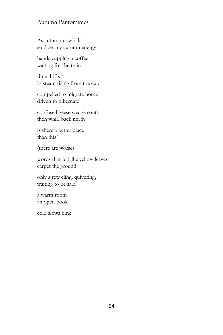As autumn unwinds so does my autumn energy

hands cupping a coffee waiting for the train

time drifts in steam rising from the cup

compelled to migrate home driven to hibernate

confused geese wedge south then whirl back north

is there a better place than this?

(there are worse)

words that fell like yellow leaves carpet the ground

only a few cling, quivering, waiting to be said

a warm room an open book

cold slows time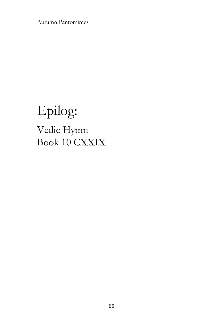# Epilog: Vedic Hymn Book 10 CXXIX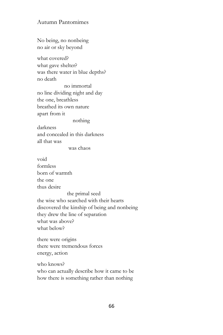No being, no nonbeing no air or sky beyond

what covered? what gave shelter? was there water in blue depths? no death

 no immortal no line dividing night and day the one, breathless breathed its own nature apart from it nothing

darkness and concealed in this darkness all that was

was chaos

void formless born of warmth the one thus desire the primal seed the wise who searched with their hearts discovered the kinship of being and nonbeing they drew the line of separation what was above? what below?

there were origins there were tremendous forces energy, action

who knows? who can actually describe how it came to be how there is something rather than nothing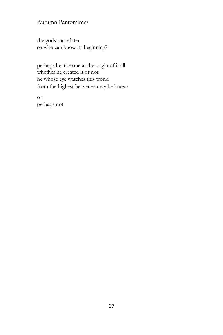the gods came later so who can know its beginning?

perhaps he, the one at the origin of it all whether he created it or not he whose eye watches this world from the highest heaven–surely he knows

or perhaps not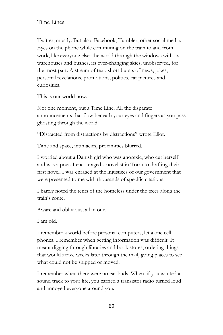Twitter, mostly. But also, Facebook, Tumbler, other social media. Eyes on the phone while commuting on the train to and from work, like everyone else–the world through the windows with its warehouses and bushes, its ever-changing skies, unobserved, for the most part. A stream of text, short bursts of news, jokes, personal revelations, promotions, politics, cat pictures and curiosities.

This is our world now.

Not one moment, but a Time Line. All the disparate announcements that flow beneath your eyes and fingers as you pass ghosting through the world.

"Distracted from distractions by distractions" wrote Eliot.

Time and space, intimacies, proximities blurred.

I worried about a Danish girl who was anorexic, who cut herself and was a poet. I encouraged a novelist in Toronto drafting their first novel. I was enraged at the injustices of our government that were presented to me with thousands of specific citations.

I barely noted the tents of the homeless under the trees along the train's route.

Aware and oblivious, all in one.

I am old.

I remember a world before personal computers, let alone cell phones. I remember when getting information was difficult. It meant digging through libraries and book stores, ordering things that would arrive weeks later through the mail, going places to see what could not be shipped or moved.

I remember when there were no ear buds. When, if you wanted a sound track to your life, you carried a transistor radio turned loud and annoyed everyone around you.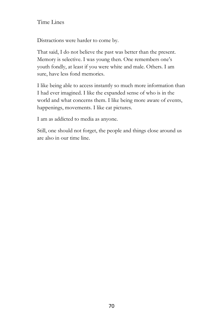Distractions were harder to come by.

That said, I do not believe the past was better than the present. Memory is selective. I was young then. One remembers one's youth fondly, at least if you were white and male. Others. I am sure, have less fond memories.

I like being able to access instantly so much more information than I had ever imagined. I like the expanded sense of who is in the world and what concerns them. I like being more aware of events, happenings, movements. I like cat pictures.

I am as addicted to media as anyone.

Still, one should not forget, the people and things close around us are also in our time line.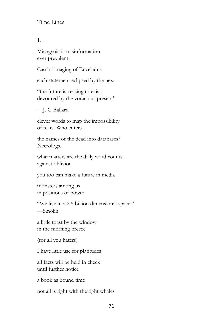1.

Misogynistic misinformation ever prevalent

Cassini imaging of Enceladus

each statement eclipsed by the next

"the future is ceasing to exist devoured by the voracious present"

—J. G Ballard

clever words to map the impossibility of tears. Who enters

the names of the dead into databases? Necrologs.

what matters are the daily word counts against oblivion

you too can make a future in media

monsters among us in positions of power

"We live in a 2.5 billion dimensional space." —Smolin

a little toast by the window in the morning breeze

(for all you haters)

I have little use for platitudes

all facts will be held in check until further notice

a book as bound time

not all is right with the right whales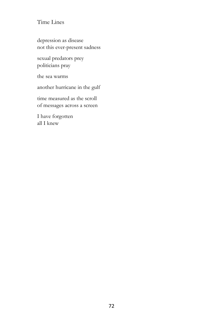depression as disease not this ever-present sadness

sexual predators prey politicians pray

the sea warms

another hurricane in the gulf

time measured as the scroll of messages across a screen

I have forgotten all I knew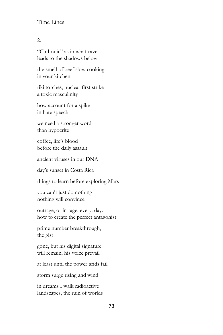### 2.

"Chthonic" as in what cave leads to the shadows below

the smell of beef slow cooking in your kitchen

tiki torches, nuclear first strike a toxic masculinity

how account for a spike in hate speech

we need a stronger word than hypocrite

coffee, life's blood before the daily assault

ancient viruses in our DNA

day's sunset in Costa Rica

things to learn before exploring Mars

you can't just do nothing nothing will convince

outrage, or in rage, every. day. how to create the perfect antagonist

prime number breakthrough, the gist

gone, but his digital signature will remain, his voice prevail

at least until the power grids fail

storm surge rising and wind

in dreams I walk radioactive landscapes, the ruin of worlds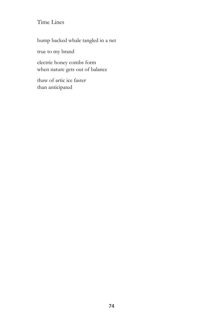hump backed whale tangled in a net

true to my brand

electric honey combs form when nature gets out of balance

thaw of artic ice faster than anticipated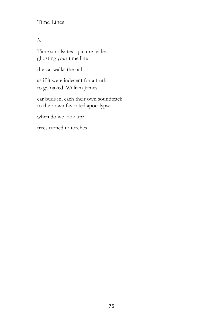## 3.

Time scrolls: text, picture, video ghosting your time line

the cat walks the rail

as if it were indecent for a truth to go naked–William James

ear buds in, each their own soundtrack to their own favorited apocalypse

when do we look up?

trees turned to torches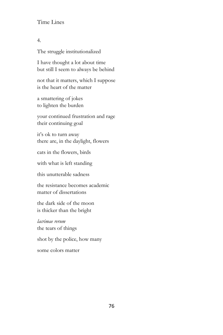#### 4.

The struggle institutionalized

I have thought a lot about time but still I seem to always be behind

not that it matters, which I suppose is the heart of the matter

a smattering of jokes to lighten the burden

your continued frustration and rage their continuing goal

it's ok to turn away there are, in the daylight, flowers

cats in the flowers, birds

with what is left standing

this unutterable sadness

the resistance becomes academic matter of dissertations

the dark side of the moon is thicker than the bright

*lacrimae rerum* the tears of things shot by the police, how many some colors matter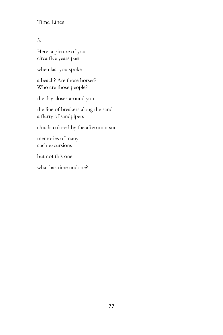5.

Here, a picture of you circa five years past

when last you spoke

a beach? Are those horses? Who are those people?

the day closes around you

the line of breakers along the sand a flurry of sandpipers

clouds colored by the afternoon sun

memories of many such excursions

but not this one

what has time undone?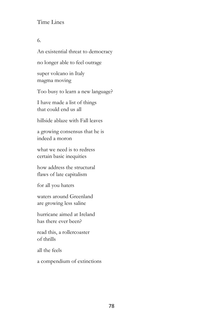#### 6.

An existential threat to democracy no longer able to feel outrage super volcano in Italy magma moving Too busy to learn a new language? I have made a list of things that could end us all hillside ablaze with Fall leaves a growing consensus that he is indeed a moron what we need is to redress certain basic inequities how address the structural flaws of late capitalism for all you haters waters around Greenland are growing less saline hurricane aimed at Ireland has there ever been? read this, a rollercoaster of thrills

all the feels

a compendium of extinctions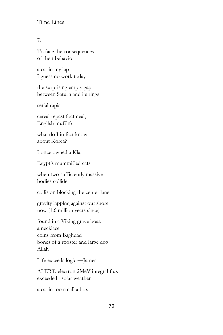#### 7.

To face the consequences of their behavior

a cat in my lap I guess no work today

the surprising empty gap between Saturn and its rings

serial rapist

cereal repast (oatmeal, English muffin)

what do I in fact know about Korea?

I once owned a Kia

Egypt's mummified cats

when two sufficiently massive bodies collide

collision blocking the center lane

gravity lapping against our shore now (1.6 million years since)

found in a Viking grave boat: a necklace coins from Baghdad bones of a rooster and large dog Allah

Life exceeds logic —James

ALERT: electron 2MeV integral flux exceeded solar weather

a cat in too small a box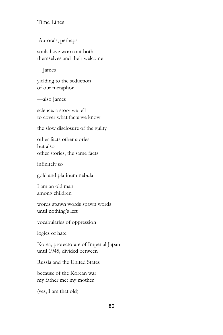Aurora's, perhaps

souls have worn out both themselves and their welcome

—James

yielding to the seduction of our metaphor

—also James

science: a story we tell to cover what facts we know

the slow disclosure of the guilty

other facts other stories but also other stories, the same facts

infinitely so

gold and platinum nebula

I am an old man among children

words spawn words spawn words until nothing's left

vocabularies of oppression

logics of hate

Korea, protectorate of Imperial Japan until 1945, divided between

Russia and the United States

because of the Korean war my father met my mother

(yes, I am that old)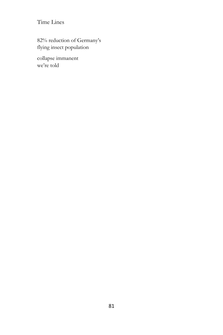82% reduction of Germany's flying insect population

collapse immanent we're told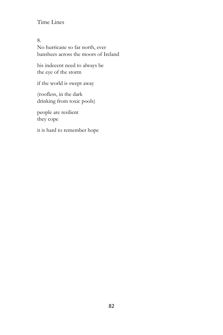8. No hurricane so far north, ever banshees across the moors of Ireland

his indecent need to always be the eye of the storm

if the world is swept away

(roofless, in the dark drinking from toxic pools)

people are resilient they cope

it is hard to remember hope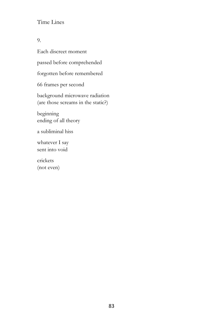9.

Each discreet moment passed before comprehended forgotten before remembered 66 frames per second background microwave radiation (are those screams in the static?) beginning ending of all theory a subliminal hiss whatever I say sent into void crickets

(not even)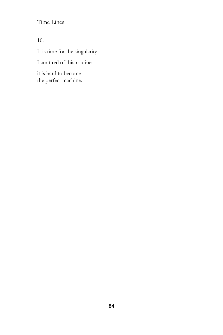10.

It is time for the singularity

I am tired of this routine

it is hard to become the perfect machine.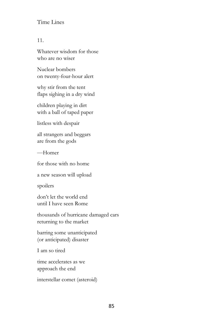#### 11.

Whatever wisdom for those who are no wiser

Nuclear bombers on twenty-four-hour alert

why stir from the tent flaps sighing in a dry wind

children playing in dirt with a ball of taped paper

listless with despair

all strangers and beggars are from the gods

—Homer

for those with no home

a new season will upload

spoilers

don't let the world end until I have seen Rome

thousands of hurricane damaged cars returning to the market

barring some unanticipated (or anticipated) disaster

I am so tired

time accelerates as we approach the end

interstellar comet (asteroid)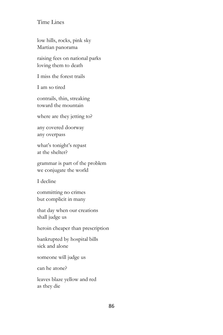low hills, rocks, pink sky Martian panorama

raising fees on national parks loving them to death

I miss the forest trails

I am so tired

contrails, thin, streaking toward the mountain

where are they jetting to?

any covered doorway any overpass

what's tonight's repast at the shelter?

grammar is part of the problem we conjugate the world

I decline

committing no crimes but complicit in many

that day when our creations shall judge us

heroin cheaper than prescription

bankrupted by hospital bills sick and alone

someone will judge us

can he atone?

leaves blaze yellow and red as they die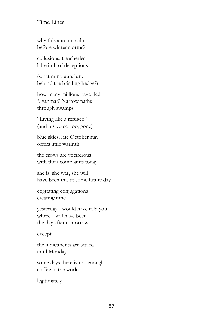why this autumn calm before winter storms?

collusions, treacheries labyrinth of deceptions

(what minotaurs lurk behind the bristling hedge?)

how many millions have fled Myanmar? Narrow paths through swamps

"Living like a refugee" (and his voice, too, gone)

blue skies, late October sun offers little warmth

the crows are vociferous with their complaints today

she is, she was, she will have been this at some future day

cogitating conjugations creating time

yesterday I would have told you where I will have been the day after tomorrow

except

the indictments are sealed until Monday

some days there is not enough coffee in the world

legitimately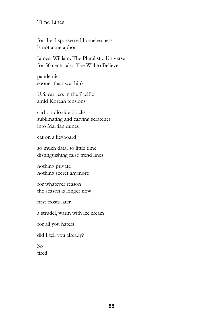for the dispossessed homelessness is not a metaphor

James, William. The Pluralistic Universe for 50 cents, also The Will to Believe

pandemic sooner than we think

U.S. carriers in the Pacific amid Korean tensions

carbon dioxide blocks sublimating and carving scratches into Martian dunes

cat on a keyboard

so much data, so little time distinguishing false trend lines

nothing private nothing secret anymore

for whatever reason the season is longer now

first frosts later

a strudel, warm with ice cream

for all you haters

did I tell you already?

So tired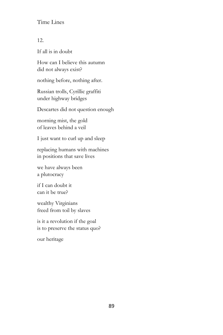12.

If all is in doubt

How can I believe this autumn did not always exist?

nothing before, nothing after.

Russian trolls, Cyrillic graffiti under highway bridges

Descartes did not question enough

morning mist, the gold of leaves behind a veil

I just want to curl up and sleep

replacing humans with machines in positions that save lives

we have always been a plutocracy

if I can doubt it can it be true?

wealthy Virginians freed from toil by slaves

is it a revolution if the goal is to preserve the status quo?

our heritage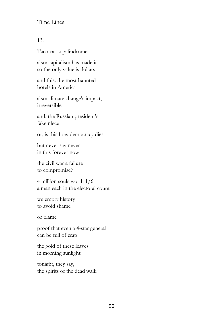#### 13.

Taco cat, a palindrome

also: capitalism has made it so the only value is dollars

and this: the most haunted hotels in America

also: climate change's impact, irreversible

and, the Russian president's fake niece

or, is this how democracy dies

but never say never in this forever now

the civil war a failure to compromise?

4 million souls worth 1/6 a man each in the electoral count

we empty history to avoid shame

or blame

proof that even a 4-star general can be full of crap

the gold of these leaves in morning sunlight

tonight, they say, the spirits of the dead walk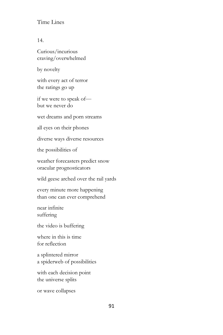14.

Curious/incurious craving/overwhelmed

by novelty

with every act of terror the ratings go up

if we were to speak of but we never do

wet dreams and porn streams

all eyes on their phones

diverse ways diverse resources

the possibilities of

weather forecasters predict snow oracular prognosticators

wild geese arched over the rail yards

every minute more happening than one can ever comprehend

near infinite suffering

the video is buffering

where in this is time for reflection

a splintered mirror a spiderweb of possibilities

with each decision point the universe splits

or wave collapses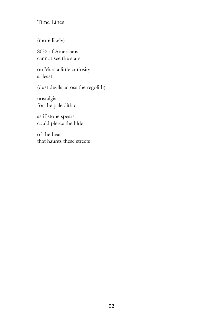(more likely)

80% of Americans cannot see the stars

on Mars a little curiosity at least

(dust devils across the regolith)

nostalgia for the paleolithic

as if stone spears could pierce the hide

of the beast that haunts these streets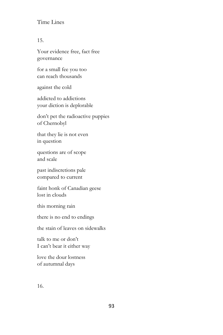15.

Your evidence free, fact free governance

for a small fee you too can reach thousands

against the cold

addicted to addictions your diction is deplorable

don't pet the radioactive puppies of Chernobyl

that they lie is not even in question

questions are of scope and scale

past indiscretions pale compared to current

faint honk of Canadian geese lost in clouds

this morning rain

there is no end to endings

the stain of leaves on sidewalks

talk to me or don't I can't bear it either way

love the dour lostness of autumnal days

16.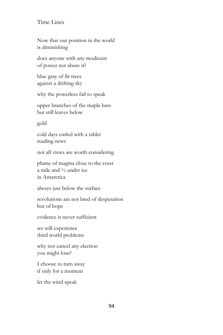Now that our position in the world is diminishing

does anyone with any modicum of power not abuse it?

blue gray of fir trees against a drifting sky

why the powerless fail to speak

upper branches of the maple bare but still leaves below

gold

cold days curled with a tablet reading news

not all views are worth considering

plume of magma close to the crust a mile and ½ under ice in Antarctica

always just below the surface

revolutions are not bred of desperation but of hope

evidence is never sufficient

we will experience third world problems

why not cancel any election you might lose?

I choose to turn away if only for a moment

let the wind speak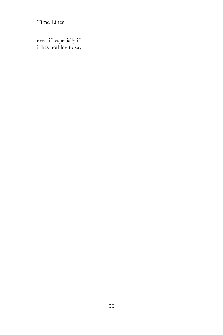even if, especially if it has nothing to say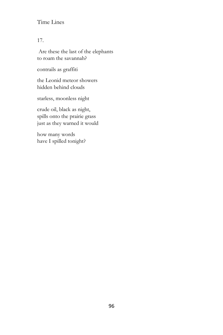17.

Are these the last of the elephants to roam the savannah?

contrails as graffiti

the Leonid meteor showers hidden behind clouds

starless, moonless night

crude oil, black as night, spills onto the prairie grass just as they warned it would

how many words have I spilled tonight?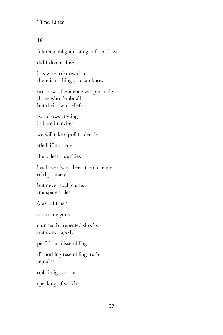#### 18.

filtered sunlight casting soft shadows

did I dream this?

it is wise to know that there is nothing you can know

no show of evidence will persuade those who doubt all but their own beliefs

two crows arguing in bare branches

we will take a poll to decide

tried, if not true

the palest blue skies

lies have always been the currency of diplomacy

but never such clumsy transparent lies

(dust of trust)

too many guns

stunned by repeated shocks numb to tragedy

perfidious dissembling

till nothing resembling truth remains

only in ignorance

speaking of which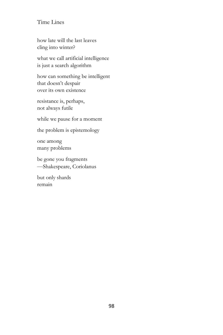how late will the last leaves cling into winter?

what we call artificial intelligence is just a search algorithm

how can something be intelligent that doesn't despair over its own existence

resistance is, perhaps, not always futile

while we pause for a moment

the problem is epistemology

one among many problems

be gone you fragments —Shakespeare, Coriolanus

but only shards remain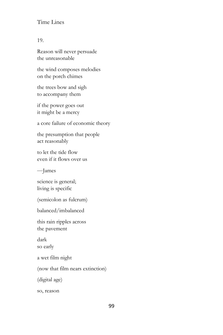#### 19.

Reason will never persuade the unreasonable

the wind composes melodies on the porch chimes

the trees bow and sigh to accompany them

if the power goes out it might be a mercy

a core failure of economic theory

the presumption that people act reasonably

to let the tide flow even if it flows over us

—James

science is general; living is specific

(semicolon as fulcrum)

balanced/imbalanced

this rain ripples across the pavement

dark so early

a wet film night

(now that film nears extinction)

(digital age)

so, reason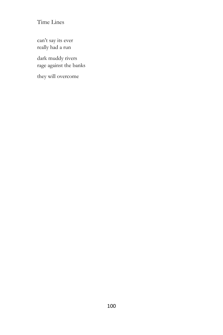can't say its ever really had a run

dark muddy rivers rage against the banks

they will overcome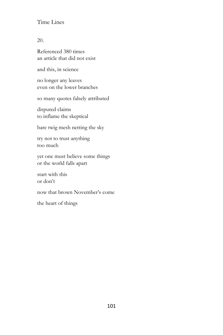20.

Referenced 380 times an article that did not exist

and this, in science

no longer any leaves even on the lower branches

so many quotes falsely attributed

disputed claims to inflame the skeptical

bare twig mesh netting the sky

try not to trust anything too much

yet one must believe some things or the world falls apart

start with this or don't

now that brown November's come

the heart of things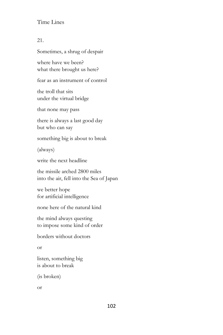### 21.

Sometimes, a shrug of despair

where have we been? what there brought us here?

fear as an instrument of control

the troll that sits under the virtual bridge

that none may pass

there is always a last good day but who can say

something big is about to break

(always)

write the next headline

the missile arched 2800 miles into the air, fell into the Sea of Japan

we better hope for artificial intelligence

none here of the natural kind

the mind always questing to impose some kind of order

borders without doctors

or

listen, something big is about to break

(is broken)

or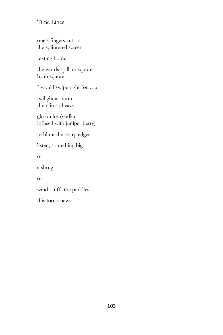one's fingers cut on the splintered screen

texting home

the words spill, misquote by misquote

I would swipe right for you

twilight at noon the rain so heavy

gin on ice (vodka infused with juniper berry)

to blunt the sharp edges

listen, something big

or

a shrug

or

wind scuffs the puddles

this too is news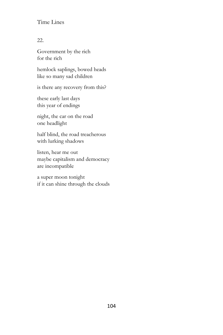## 22.

Government by the rich for the rich

hemlock saplings, bowed heads like so many sad children

is there any recovery from this?

these early last days this year of endings

night, the car on the road one headlight

half blind, the road treacherous with lurking shadows

listen, hear me out maybe capitalism and democracy are incompatible

a super moon tonight if it can shine through the clouds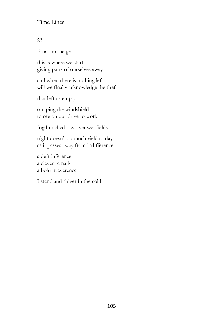## 23.

Frost on the grass

this is where we start giving parts of ourselves away

and when there is nothing left will we finally acknowledge the theft

that left us empty

scraping the windshield to see on our drive to work

fog hunched low over wet fields

night doesn't so much yield to day as it passes away from indifference

a deft inference a clever remark a bold irreverence

I stand and shiver in the cold